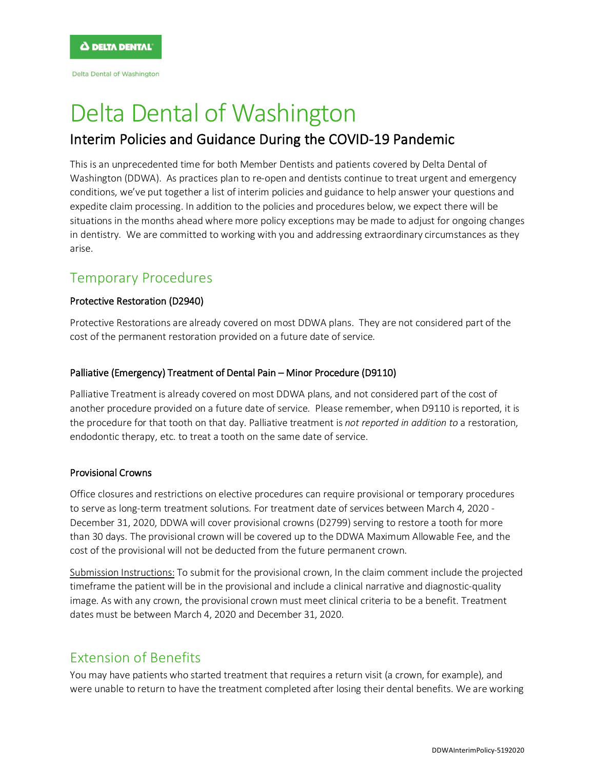Delta Dental of Washington

# Delta Dental of Washington

# Interim Policies and Guidance During the COVID-19 Pandemic

This is an unprecedented time for both Member Dentists and patients covered by Delta Dental of Washington (DDWA). As practices plan to re-open and dentists continue to treat urgent and emergency conditions, we've put together a list of interim policies and guidance to help answer your questions and expedite claim processing. In addition to the policies and procedures below, we expect there will be situations in the months ahead where more policy exceptions may be made to adjust for ongoing changes in dentistry. We are committed to working with you and addressing extraordinary circumstances as they arise.

# Temporary Procedures

## Protective Restoration (D2940)

Protective Restorations are already covered on most DDWA plans. They are not considered part of the cost of the permanent restoration provided on a future date of service.

## Palliative (Emergency) Treatment of Dental Pain – Minor Procedure (D9110)

Palliative Treatment is already covered on most DDWA plans, and not considered part of the cost of another procedure provided on a future date of service. Please remember, when D9110 is reported, it is the procedure for that tooth on that day. Palliative treatment is *not reported in addition to* a restoration, endodontic therapy, etc. to treat a tooth on the same date of service.

## Provisional Crowns

Office closures and restrictions on elective procedures can require provisional or temporary procedures to serve as long-term treatment solutions. For treatment date of services between March 4, 2020 - December 31, 2020, DDWA will cover provisional crowns (D2799) serving to restore a tooth for more than 30 days. The provisional crown will be covered up to the DDWA Maximum Allowable Fee, and the cost of the provisional will not be deducted from the future permanent crown.

Submission Instructions: To submit for the provisional crown, In the claim comment include the projected timeframe the patient will be in the provisional and include a clinical narrative and diagnostic-quality image. As with any crown, the provisional crown must meet clinical criteria to be a benefit. Treatment dates must be between March 4, 2020 and December 31, 2020.

# Extension of Benefits

You may have patients who started treatment that requires a return visit (a crown, for example), and were unable to return to have the treatment completed after losing their dental benefits. We are working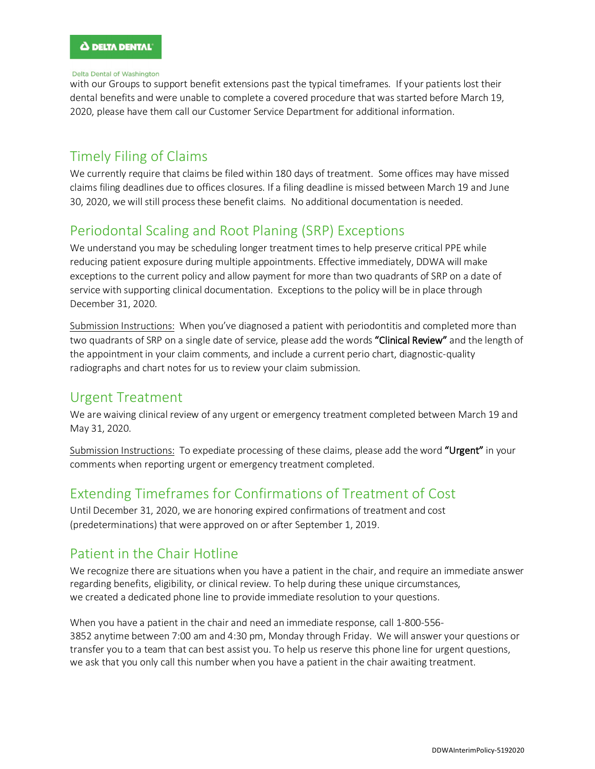#### Delta Dental of Washington

with our Groups to support benefit extensions past the typical timeframes. If your patients lost their dental benefits and were unable to complete a covered procedure that was started before March 19, 2020, please have them call our Customer Service Department for additional information.

# Timely Filing of Claims

We currently require that claims be filed within 180 days of treatment. Some offices may have missed claims filing deadlines due to offices closures. If a filing deadline is missed between March 19 and June 30, 2020, we will still process these benefit claims. No additional documentation is needed.

# Periodontal Scaling and Root Planing (SRP) Exceptions

We understand you may be scheduling longer treatment times to help preserve critical PPE while reducing patient exposure during multiple appointments. Effective immediately, DDWA will make exceptions to the current policy and allow payment for more than two quadrants of SRP on a date of service with supporting clinical documentation. Exceptions to the policy will be in place through December 31, 2020.

Submission Instructions: When you've diagnosed a patient with periodontitis and completed more than two quadrants of SRP on a single date of service, please add the words "Clinical Review" and the length of the appointment in your claim comments, and include a current perio chart, diagnostic-quality radiographs and chart notes for us to review your claim submission.

## Urgent Treatment

We are waiving clinical review of any urgent or emergency treatment completed between March 19 and May 31, 2020.

Submission Instructions: To expediate processing of these claims, please add the word "Urgent" in your comments when reporting urgent or emergency treatment completed.

# Extending Timeframes for Confirmations of Treatment of Cost

Until December 31, 2020, we are honoring expired confirmations of treatment and cost (predeterminations) that were approved on or after September 1, 2019.

# Patient in the Chair Hotline

We recognize there are situations when you have a patient in the chair, and require an immediate answer regarding benefits, eligibility, or clinical review. To help during these unique circumstances, we created a dedicated phone line to provide immediate resolution to your questions.

When you have a patient in the chair and need an immediate response, call 1-800-556- 3852 anytime between 7:00 am and 4:30 pm, Monday through Friday. We will answer your questions or transfer you to a team that can best assist you. To help us reserve this phone line for urgent questions, we ask that you only call this number when you have a patient in the chair awaiting treatment.